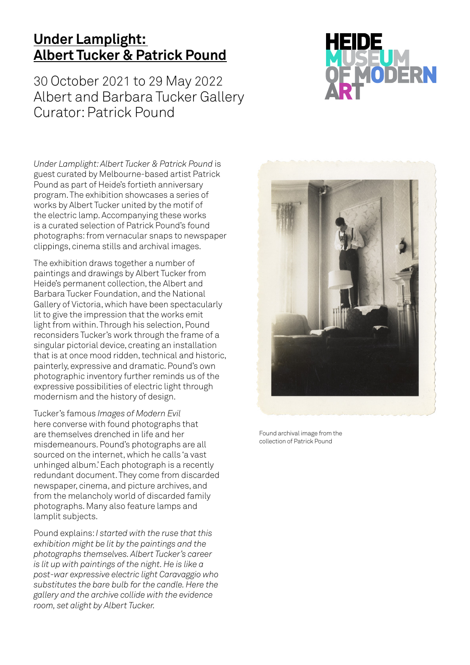## **Under Lamplight: Albert Tucker & Patrick Pound**

30 October 2021 to 29 May 2022 Albert and Barbara Tucker Gallery Curator: Patrick Pound



*Under Lamplight: Albert Tucker & Patrick Pound* is guest curated by Melbourne-based artist Patrick Pound as part of Heide's fortieth anniversary program. The exhibition showcases a series of works by Albert Tucker united by the motif of the electric lamp. Accompanying these works is a curated selection of Patrick Pound's found photographs: from vernacular snaps to newspaper clippings, cinema stills and archival images.

The exhibition draws together a number of paintings and drawings by Albert Tucker from Heide's permanent collection, the Albert and Barbara Tucker Foundation, and the National Gallery of Victoria, which have been spectacularly lit to give the impression that the works emit light from within. Through his selection, Pound reconsiders Tucker's work through the frame of a singular pictorial device, creating an installation that is at once mood ridden, technical and historic, painterly, expressive and dramatic. Pound's own photographic inventory further reminds us of the expressive possibilities of electric light through modernism and the history of design.

Tucker's famous *Images of Modern Evil* here converse with found photographs that are themselves drenched in life and her misdemeanours. Pound's photographs are all sourced on the internet, which he calls 'a vast unhinged album.' Each photograph is a recently redundant document. They come from discarded newspaper, cinema, and picture archives, and from the melancholy world of discarded family photographs. Many also feature lamps and lamplit subjects.

Pound explains: *I started with the ruse that this exhibition might be lit by the paintings and the photographs themselves. Albert Tucker's career is lit up with paintings of the night. He is like a post-war expressive electric light Caravaggio who substitutes the bare bulb for the candle. Here the gallery and the archive collide with the evidence room, set alight by Albert Tucker.*



Found archival image from the collection of Patrick Pound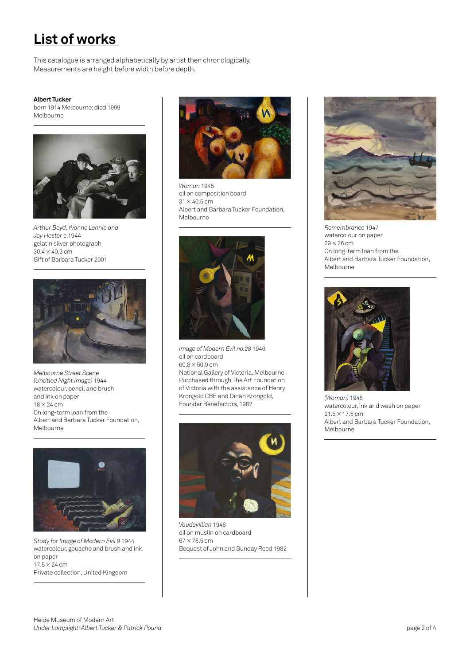## **List of works**

This catalogue is arranged alphabetically by artist then chronologically. Measurements are height before width before depth.

## **Albert Tucker**

born 1914 Melbourne; died 1999 Melbourne



*Arthur Boyd, Yvonne Lennie and Joy Hester* c.1944 gelatin silver photograph  $30.4 \times 40.3$  cm Gift of Barbara Tucker 2001



*Melbourne Street Scene (Untitled Night Image)* 1944 watercolour, pencil and brush and ink on paper  $18 \times 24$  cm On long-term loan from the Albert and Barbara Tucker Foundation, Melbourne



*Study for Image of Modern Evil 9* 1944 watercolour, gouache and brush and ink on paper  $17.5 \times 24$  cm Private collection, United Kingdom



*Woman* 1945 oil on composition board  $31 \times 40.5$  cm Albert and Barbara Tucker Foundation, Melbourne



*Image of Modern Evil no.28* 1946 oil on cardboard  $60.8 \times 50.9 \text{ cm}$ National Gallery of Victoria, Melbourne Purchased through The Art Foundation of Victoria with the assistance of Henry Krongold CBE and Dinah Krongold, Founder Benefactors, 1982



*Vaudevillian* 1946 oil on muslin on cardboard  $67 \times 78.5$  cm Bequest of John and Sunday Reed 1982



*Remembrance* 1947 watercolour on paper  $29 \times 26$  cm On long-term loan from the Albert and Barbara Tucker Foundation, Melbourne



*(Woman)* 1948 watercolour, ink and wash on paper  $21.5 \times 17.5$  cm Albert and Barbara Tucker Foundation, Melbourne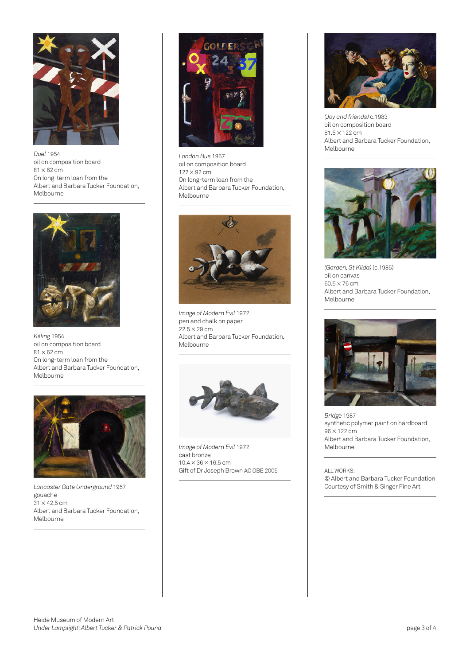

*Duel* 1954 oil on composition board  $81 \times 62$  cm On long-term loan from the Albert and Barbara Tucker Foundation, Melbourne



*Killing* 1954 oil on composition board  $81 \times 62$  cm On long-term loan from the Albert and Barbara Tucker Foundation, Melbourne



*Lancaster Gate Underground* 1957 gouache  $31 \times 42.5$  cm Albert and Barbara Tucker Foundation, Melbourne



*London Bus* 1957 oil on composition board 122 × 92 cm On long-term loan from the Albert and Barbara Tucker Foundation, Melbourne



*Image of Modern Evil* 1972 pen and chalk on paper  $22.5 \times 29 \, \text{cm}$ Albert and Barbara Tucker Foundation, Melbourne



*Image of Modern Evil* 1972 cast bronze  $10.4 \times 36 \times 16.5$  cm Gift of Dr Joseph Brown AO OBE 2005



*(Joy and friends)* c.1983 oil on composition board 81.5 × 122 cm Albert and Barbara Tucker Foundation, Melbourne



*(Garden, St Kilda)* (c.1985) oil on canvas  $60.5 \times 76$  cm Albert and Barbara Tucker Foundation, Melbourne



*Bridge* 1987 synthetic polymer paint on hardboard 96 × 122 cm Albert and Barbara Tucker Foundation, Melbourne

ALL WORKS: © Albert and Barbara Tucker Foundation Courtesy of Smith & Singer Fine Art